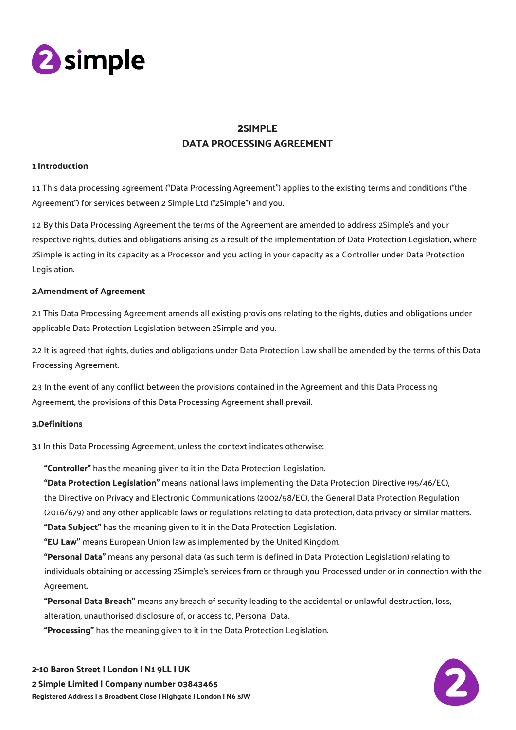

# 2SIMPLE DATA PROCESSING AGREEMENT

# 1 Introduction

1.1 This data processing agreement ("Data Processing Agreement") applies to the existing terms and conditions ("the Agreement") for services between 2 Simple Ltd ("2Simple") and you.

1.2 By this Data Processing Agreement the terms of the Agreement are amended to address 2Simple's and your respective rights, duties and obligations arising as a result of the implementation of Data Protection Legislation, where 2Simple is acting in its capacity as a Processor and you acting in your capacity as a Controller under Data Protection Legislation.

#### 2.Amendment of Agreement

2.1 This Data Processing Agreement amends all existing provisions relating to the rights, duties and obligations under applicable Data Protection Legislation between 2Simple and you.

2.2 It is agreed that rights, duties and obligations under Data Protection Law shall be amended by the terms of this Data Processing Agreement.

2.3 In the event of any conflict between the provisions contained in the Agreement and this Data Processing Agreement, the provisions of this Data Processing Agreement shall prevail.

# 3.Definitions

3.1 In this Data Processing Agreement, unless the context indicates otherwise:

"Controller" has the meaning given to it in the Data Protection Legislation.

"Data Protection Legislation" means national laws implementing the Data Protection Directive (95/46/EC), the Directive on Privacy and Electronic Communications (2002/58/EC), the General Data Protection Regulation (2016/679) and any other applicable laws or regulations relating to data protection, data privacy or similar matters. "Data Subject" has the meaning given to it in the Data Protection Legislation.

"EU Law" means European Union law as implemented by the United Kingdom.

"Personal Data" means any personal data (as such term is defined in Data Protection Legislation) relating to individuals obtaining or accessing 2Simple's services from or through you, Processed under or in connection with the Agreement.

"Personal Data Breach" means any breach of security leading to the accidental or unlawful destruction, loss, alteration, unauthorised disclosure of, or access to, Personal Data.

"Processing" has the meaning given to it in the Data Protection Legislation.

2-10 Baron Street | London | N1 9LL | UK 2 Simple Limited | Company number 03843465 Registered Address | 5 Broadbent Close | Highgate | London | N6 5JW

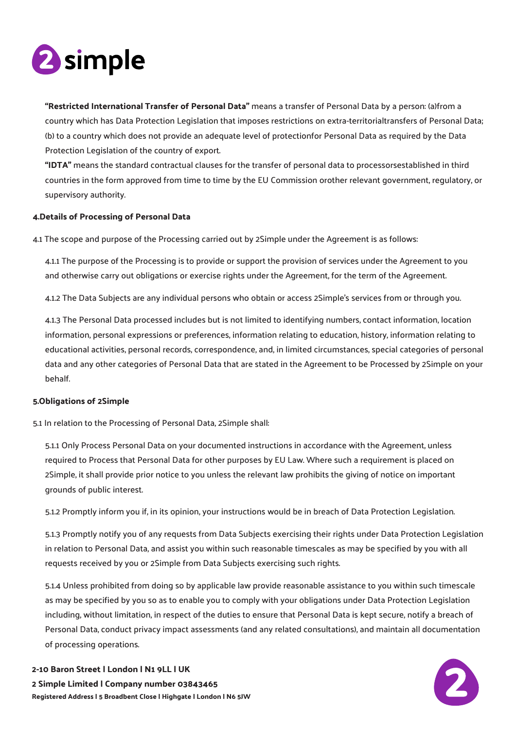

"Restricted International Transfer of Personal Data" means a transfer of Personal Data by a person: (a)from a country which has Data Protection Legislation that imposes restrictions on extra-territorialtransfers of Personal Data; (b) to a country which does not provide an adequate level of protectionfor Personal Data as required by the Data Protection Legislation of the country of export.

"IDTA" means the standard contractual clauses for the transfer of personal data to processorsestablished in third countries in the form approved from time to time by the EU Commission orother relevant government, regulatory, or supervisory authority.

#### 4.Details of Processing of Personal Data

4.1 The scope and purpose of the Processing carried out by 2Simple under the Agreement is as follows:

4.1.1 The purpose of the Processing is to provide or support the provision of services under the Agreement to you and otherwise carry out obligations or exercise rights under the Agreement, for the term of the Agreement.

4.1.2 The Data Subjects are any individual persons who obtain or access 2Simple's services from or through you.

4.1.3 The Personal Data processed includes but is not limited to identifying numbers, contact information, location information, personal expressions or preferences, information relating to education, history, information relating to educational activities, personal records, correspondence, and, in limited circumstances, special categories of personal data and any other categories of Personal Data that are stated in the Agreement to be Processed by 2Simple on your behalf.

#### 5.Obligations of 2Simple

5.1 In relation to the Processing of Personal Data, 2Simple shall:

5.1.1 Only Process Personal Data on your documented instructions in accordance with the Agreement, unless required to Process that Personal Data for other purposes by EU Law. Where such a requirement is placed on 2Simple, it shall provide prior notice to you unless the relevant law prohibits the giving of notice on important grounds of public interest.

5.1.2 Promptly inform you if, in its opinion, your instructions would be in breach of Data Protection Legislation.

5.1.3 Promptly notify you of any requests from Data Subjects exercising their rights under Data Protection Legislation in relation to Personal Data, and assist you within such reasonable timescales as may be specified by you with all requests received by you or 2Simple from Data Subjects exercising such rights.

5.1.4 Unless prohibited from doing so by applicable law provide reasonable assistance to you within such timescale as may be specified by you so as to enable you to comply with your obligations under Data Protection Legislation including, without limitation, in respect of the duties to ensure that Personal Data is kept secure, notify a breach of Personal Data, conduct privacy impact assessments (and any related consultations), and maintain all documentation of processing operations.



# 2-10 Baron Street | London | N1 9LL | UK 2 Simple Limited | Company number 03843465 Registered Address | 5 Broadbent Close | Highgate | London | N6 5JW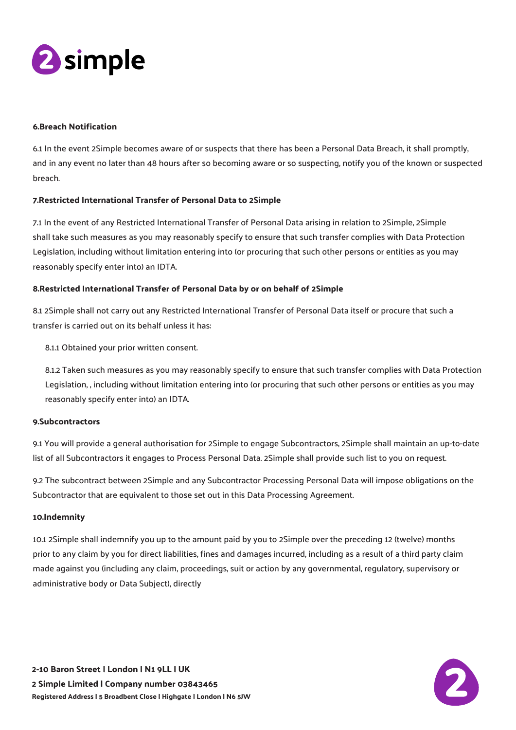

#### 6.Breach Notification

6.1 In the event 2Simple becomes aware of or suspects that there has been a Personal Data Breach, it shall promptly, and in any event no later than 48 hours after so becoming aware or so suspecting, notify you of the known or suspected breach.

# 7.Restricted International Transfer of Personal Data to 2Simple

7.1 In the event of any Restricted International Transfer of Personal Data arising in relation to 2Simple, 2Simple shall take such measures as you may reasonably specify to ensure that such transfer complies with Data Protection Legislation, including without limitation entering into (or procuring that such other persons or entities as you may reasonably specify enter into) an IDTA.

#### 8.Restricted International Transfer of Personal Data by or on behalf of 2Simple

8.1 2Simple shall not carry out any Restricted International Transfer of Personal Data itself or procure that such a transfer is carried out on its behalf unless it has:

8.1.1 Obtained your prior written consent.

8.1.2 Taken such measures as you may reasonably specify to ensure that such transfer complies with Data Protection Legislation, , including without limitation entering into (or procuring that such other persons or entities as you may reasonably specify enter into) an IDTA.

#### 9.Subcontractors

9.1 You will provide a general authorisation for 2Simple to engage Subcontractors, 2Simple shall maintain an up-to-date list of all Subcontractors it engages to Process Personal Data. 2Simple shall provide such list to you on request.

9.2 The subcontract between 2Simple and any Subcontractor Processing Personal Data will impose obligations on the Subcontractor that are equivalent to those set out in this Data Processing Agreement.

#### 10.Indemnity

10.1 2Simple shall indemnify you up to the amount paid by you to 2Simple over the preceding 12 (twelve) months prior to any claim by you for direct liabilities, fines and damages incurred, including as a result of a third party claim made against you (including any claim, proceedings, suit or action by any governmental, regulatory, supervisory or administrative body or Data Subject), directly